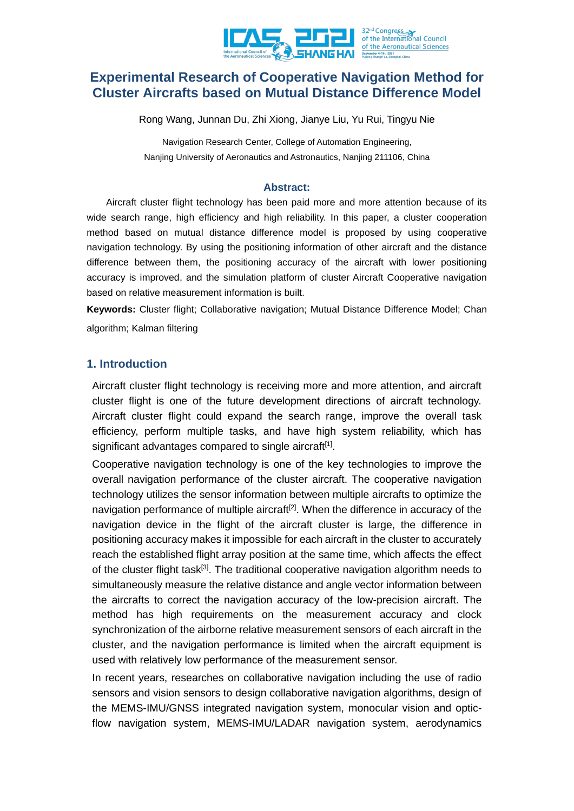

# **Experimental Research of Cooperative Navigation Method for Cluster Aircrafts based on Mutual Distance Difference Model**

Rong Wang, Junnan Du, Zhi Xiong, Jianye Liu, Yu Rui, Tingyu Nie

Navigation Research Center, College of Automation Engineering, Nanjing University of Aeronautics and Astronautics, Nanjing 211106, China

#### **Abstract:**

Aircraft cluster flight technology has been paid more and more attention because of its wide search range, high efficiency and high reliability. In this paper, a cluster cooperation method based on mutual distance difference model is proposed by using cooperative navigation technology. By using the positioning information of other aircraft and the distance difference between them, the positioning accuracy of the aircraft with lower positioning accuracy is improved, and the simulation platform of cluster Aircraft Cooperative navigation based on relative measurement information is built.

**Keywords:** Cluster flight; Collaborative navigation; Mutual Distance Difference Model; Chan algorithm; Kalman filtering

## **1. Introduction**

Aircraft cluster flight technology is receiving more and more attention, and aircraft cluster flight is one of the future development directions of aircraft technology. Aircraft cluster flight could expand the search range, improve the overall task efficiency, perform multiple tasks, and have high system reliability, which has significant advantages compared to single aircraft $[1]$ .

Cooperative navigation technology is one of the key technologies to improve the overall navigation performance of the cluster aircraft. The cooperative navigation technology utilizes the sensor information between multiple aircrafts to optimize the navigation performance of multiple aircraft<sup>[2]</sup>. When the difference in accuracy of the navigation device in the flight of the aircraft cluster is large, the difference in positioning accuracy makes it impossible for each aircraft in the cluster to accurately reach the established flight array position at the same time, which affects the effect of the cluster flight task[3]. The traditional cooperative navigation algorithm needs to simultaneously measure the relative distance and angle vector information between the aircrafts to correct the navigation accuracy of the low-precision aircraft. The method has high requirements on the measurement accuracy and clock synchronization of the airborne relative measurement sensors of each aircraft in the cluster, and the navigation performance is limited when the aircraft equipment is used with relatively low performance of the measurement sensor.

In recent years, researches on collaborative navigation including the use of radio sensors and vision sensors to design collaborative navigation algorithms, design of the MEMS-IMU/GNSS integrated navigation system, monocular vision and opticflow navigation system, MEMS-IMU/LADAR navigation system, aerodynamics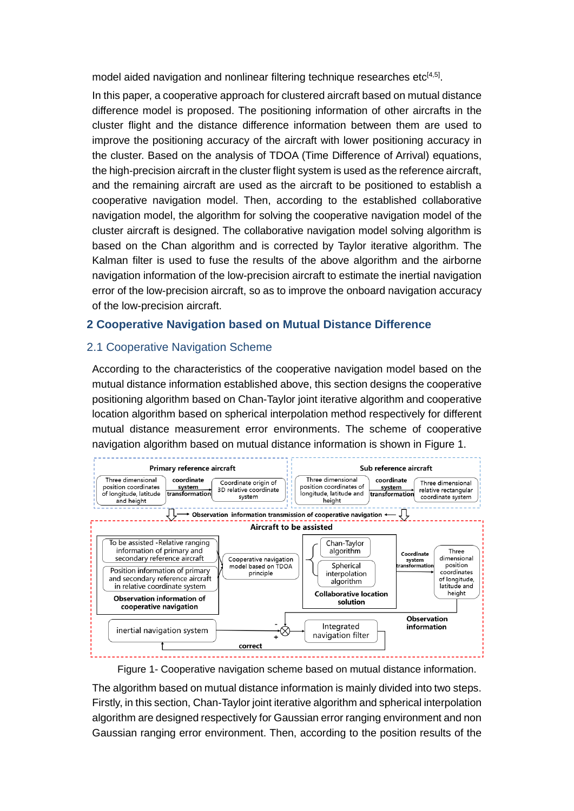model aided navigation and nonlinear filtering technique researches etc $[4,5]$ .

In this paper, a cooperative approach for clustered aircraft based on mutual distance difference model is proposed. The positioning information of other aircrafts in the cluster flight and the distance difference information between them are used to improve the positioning accuracy of the aircraft with lower positioning accuracy in the cluster. Based on the analysis of TDOA (Time Difference of Arrival) equations, the high-precision aircraft in the cluster flight system is used as the reference aircraft, and the remaining aircraft are used as the aircraft to be positioned to establish a cooperative navigation model. Then, according to the established collaborative navigation model, the algorithm for solving the cooperative navigation model of the cluster aircraft is designed. The collaborative navigation model solving algorithm is based on the Chan algorithm and is corrected by Taylor iterative algorithm. The Kalman filter is used to fuse the results of the above algorithm and the airborne navigation information of the low-precision aircraft to estimate the inertial navigation error of the low-precision aircraft, so as to improve the onboard navigation accuracy of the low-precision aircraft.

## **2 Cooperative Navigation based on Mutual Distance Difference**

## 2.1 Cooperative Navigation Scheme

According to the characteristics of the cooperative navigation model based on the mutual distance information established above, this section designs the cooperative positioning algorithm based on Chan-Taylor joint iterative algorithm and cooperative location algorithm based on spherical interpolation method respectively for different mutual distance measurement error environments. The scheme of cooperative navigation algorithm based on mutual distance information is shown in Figure 1.



Figure 1- Cooperative navigation scheme based on mutual distance information.

The algorithm based on mutual distance information is mainly divided into two steps. Firstly, in this section, Chan-Taylor joint iterative algorithm and spherical interpolation algorithm are designed respectively for Gaussian error ranging environment and non Gaussian ranging error environment. Then, according to the position results of the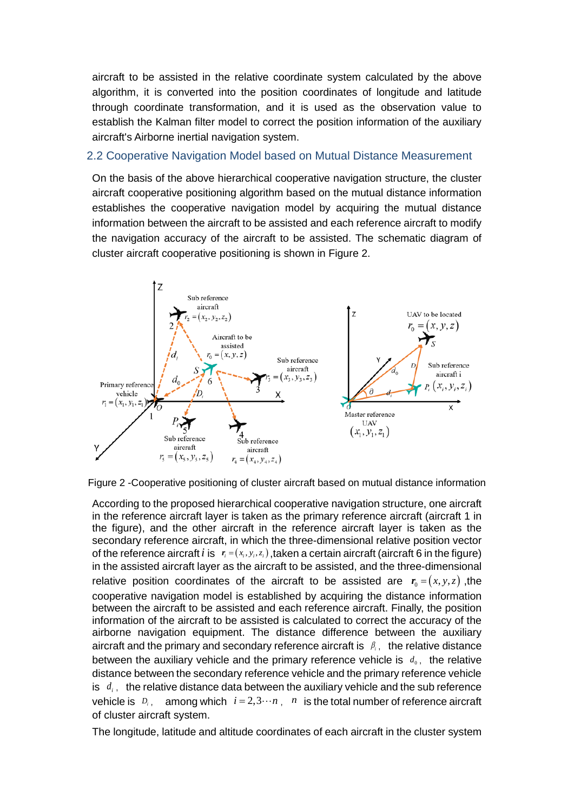aircraft to be assisted in the relative coordinate system calculated by the above algorithm, it is converted into the position coordinates of longitude and latitude through coordinate transformation, and it is used as the observation value to establish the Kalman filter model to correct the position information of the auxiliary aircraft's Airborne inertial navigation system.

## 2.2 Cooperative Navigation Model based on Mutual Distance Measurement

On the basis of the above hierarchical cooperative navigation structure, the cluster aircraft cooperative positioning algorithm based on the mutual distance information establishes the cooperative navigation model by acquiring the mutual distance information between the aircraft to be assisted and each reference aircraft to modify the navigation accuracy of the aircraft to be assisted. The schematic diagram of cluster aircraft cooperative positioning is shown in Figure 2.



Figure 2 -Cooperative positioning of cluster aircraft based on mutual distance information

According to the proposed hierarchical cooperative navigation structure, one aircraft in the reference aircraft layer is taken as the primary reference aircraft (aircraft 1 in the figure), and the other aircraft in the reference aircraft layer is taken as the secondary reference aircraft, in which the three-dimensional relative position vector of the reference aircraft *i* is  $r_i = (x_i, y_i, z_i)$ , taken a certain aircraft (aircraft 6 in the figure) in the assisted aircraft layer as the aircraft to be assisted, and the three-dimensional relative position coordinates of the aircraft to be assisted are  $r_0 = (x, y, z)$ , the cooperative navigation model is established by acquiring the distance information between the aircraft to be assisted and each reference aircraft. Finally, the position information of the aircraft to be assisted is calculated to correct the accuracy of the airborne navigation equipment. The distance difference between the auxiliary aircraft and the primary and secondary reference aircraft is  $\beta_i$ , the relative distance between the auxiliary vehicle and the primary reference vehicle is  $d_0$ , the relative distance between the secondary reference vehicle and the primary reference vehicle is  $d_i$ , the relative distance data between the auxiliary vehicle and the sub reference vehicle is  $D_i$ , among which  $i = 2, 3 \cdots n$ , *n* is the total number of reference aircraft of cluster aircraft system.

The longitude, latitude and altitude coordinates of each aircraft in the cluster system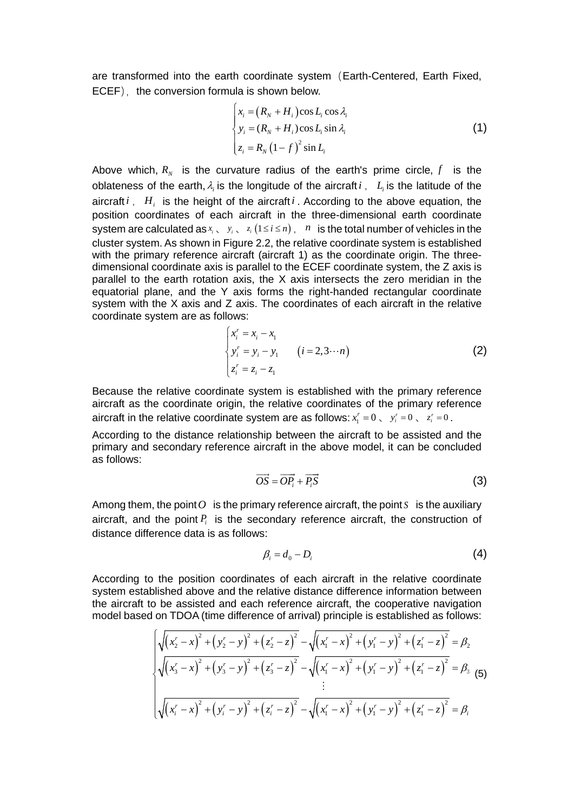are transformed into the earth coordinate system(Earth-Centered, Earth Fixed, ECEF), the conversion formula is shown below.

$$
\begin{cases}\n x_i = (R_N + H_i) \cos L_i \cos \lambda_i \\
 y_i = (R_N + H_i) \cos L_i \sin \lambda_i \\
 z_i = R_N (1 - f)^2 \sin L_i\n\end{cases}
$$
\n(1)

Above which,  $R_N$  is the curvature radius of the earth's prime circle,  $f$  is the oblateness of the earth,  $\lambda_i$  is the longitude of the aircraft *i*,  $L_i$  is the latitude of the aircraft  $i$ ,  $H_i$  is the height of the aircraft  $i$ . According to the above equation, the position coordinates of each aircraft in the three-dimensional earth coordinate system are calculated as  $x_i$ ,  $y_i$ ,  $z_i$  ( $1 \le i \le n$ ),  $n$  is the total number of vehicles in the cluster system. As shown in Figure 2.2, the relative coordinate system is established with the primary reference aircraft (aircraft 1) as the coordinate origin. The threedimensional coordinate axis is parallel to the ECEF coordinate system, the Z axis is parallel to the earth rotation axis, the X axis intersects the zero meridian in the equatorial plane, and the Y axis forms the right-handed rectangular coordinate system with the X axis and Z axis. The coordinates of each aircraft in the relative coordinate system are as follows:

$$
\begin{cases}\n x_i^r = x_i - x_1 \\
 y_i^r = y_i - y_1 \\
 z_i^r = z_i - z_1\n\end{cases} \quad (i = 2, 3 \cdots n)
$$
\n(2)

Because the relative coordinate system is established with the primary reference aircraft as the coordinate origin, the relative coordinates of the primary reference aircraft in the relative coordinate system are as follows:  $x_1^r = 0$ ,  $y_i^r = 0$ ,  $z_i^r = 0$ .

According to the distance relationship between the aircraft to be assisted and the primary and secondary reference aircraft in the above model, it can be concluded as follows:

$$
\overrightarrow{OS} = \overrightarrow{OP_i} + \overrightarrow{P_iS}
$$
 (3)

Among them, the point  $\overline{O}$  is the primary reference aircraft, the point  $\overline{S}$  is the auxiliary aircraft, and the point  $P_i$  is the secondary reference aircraft, the construction of distance difference data is as follows:

$$
\beta_i = d_0 - D_i \tag{4}
$$

According to the position coordinates of each aircraft in the relative coordinate system established above and the relative distance difference information between the aircraft to be assisted and each reference aircraft, the cooperative navigation model based on TDOA (time difference of arrival) principle is established as follows:

$$
\begin{cases}\n\sqrt{(x_2^r - x)^2 + (y_2^r - y)^2 + (z_2^r - z)^2} - \sqrt{(x_1^r - x)^2 + (y_1^r - y)^2 + (z_1^r - z)^2} = \beta_2 \\
\sqrt{(x_3^r - x)^2 + (y_3^r - y)^2 + (z_3^r - z)^2} - \sqrt{(x_1^r - x)^2 + (y_1^r - y)^2 + (z_1^r - z)^2} = \beta_3 \\
\vdots \\
\sqrt{(x_i^r - x)^2 + (y_i^r - y)^2 + (z_i^r - z)^2} - \sqrt{(x_1^r - x)^2 + (y_1^r - y)^2 + (z_1^r - z)^2} = \beta_i\n\end{cases}
$$
\n(5)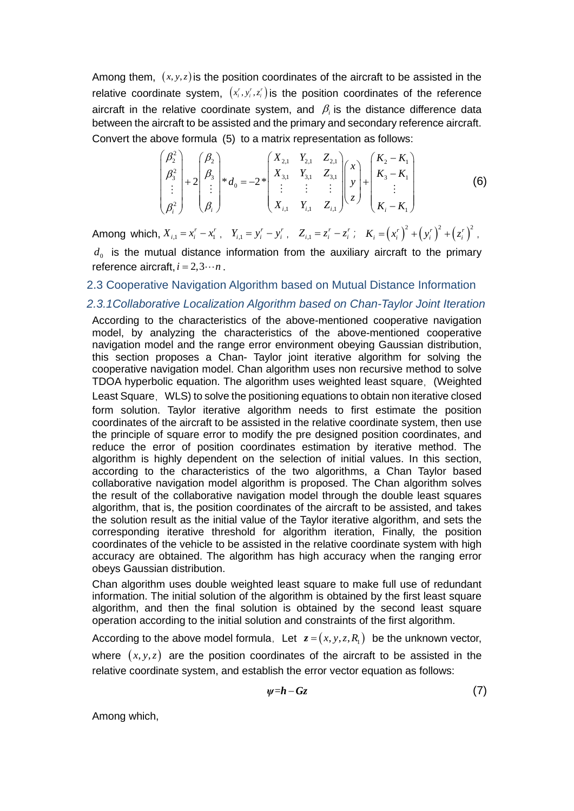Among them,  $(x, y, z)$  is the position coordinates of the aircraft to be assisted in the relative coordinate system,  $(x_i, y_i, z_i)$  is the position coordinates of the reference aircraft in the relative coordinate system, and  $\beta_i$  is the distance difference data between the aircraft to be assisted and the primary and secondary reference aircraft. Convert the above formula (5) to a matrix representation as follows:

$$
\begin{pmatrix} \beta_2^2 \\ \beta_3^2 \\ \vdots \\ \beta_i^2 \end{pmatrix} + 2 \begin{pmatrix} \beta_2 \\ \beta_3 \\ \vdots \\ \beta_i \end{pmatrix} * d_0 = -2 * \begin{pmatrix} X_{2,1} & Y_{2,1} & Z_{2,1} \\ X_{3,1} & Y_{3,1} & Z_{3,1} \\ \vdots & \vdots & \vdots \\ X_{i,1} & Y_{i,1} & Z_{i,1} \end{pmatrix} \begin{pmatrix} x \\ y \\ z \end{pmatrix} + \begin{pmatrix} K_2 - K_1 \\ K_3 - K_1 \\ \vdots \\ K_i - K_1 \end{pmatrix} \tag{6}
$$

Among which,  $X_{i,1} = x_i^r - x_1^r$ ,  $Y_{i,1} = y_i^r - y_i^r$ ,  $Z_{i,1} = z_i^r - z_i^r$ ;  $K_i = (x_i^r)^2 + (y_i^r)^2 + (z_i^r)^2$ ,

 $d_0$  is the mutual distance information from the auxiliary aircraft to the primary reference aircraft,  $i = 2, 3 \cdots n$ .

#### 2.3 Cooperative Navigation Algorithm based on Mutual Distance Information

#### *2.3.1Collaborative Localization Algorithm based on Chan-Taylor Joint Iteration*

According to the characteristics of the above-mentioned cooperative navigation model, by analyzing the characteristics of the above-mentioned cooperative navigation model and the range error environment obeying Gaussian distribution, this section proposes a Chan- Taylor joint iterative algorithm for solving the cooperative navigation model. Chan algorithm uses non recursive method to solve TDOA hyperbolic equation. The algorithm uses weighted least square, (Weighted Least Square, WLS) to solve the positioning equations to obtain non iterative closed form solution. Taylor iterative algorithm needs to first estimate the position coordinates of the aircraft to be assisted in the relative coordinate system, then use the principle of square error to modify the pre designed position coordinates, and reduce the error of position coordinates estimation by iterative method. The algorithm is highly dependent on the selection of initial values. In this section, according to the characteristics of the two algorithms, a Chan Taylor based collaborative navigation model algorithm is proposed. The Chan algorithm solves the result of the collaborative navigation model through the double least squares algorithm, that is, the position coordinates of the aircraft to be assisted, and takes the solution result as the initial value of the Taylor iterative algorithm, and sets the corresponding iterative threshold for algorithm iteration, Finally, the position coordinates of the vehicle to be assisted in the relative coordinate system with high accuracy are obtained. The algorithm has high accuracy when the ranging error obeys Gaussian distribution.

Chan algorithm uses double weighted least square to make full use of redundant information. The initial solution of the algorithm is obtained by the first least square algorithm, and then the final solution is obtained by the second least square operation according to the initial solution and constraints of the first algorithm.

According to the above model formula, Let  $z = (x, y, z, R)$  be the unknown vector, where  $(x, y, z)$  are the position coordinates of the aircraft to be assisted in the relative coordinate system, and establish the error vector equation as follows:

$$
\psi = h - G z \tag{7}
$$

Among which,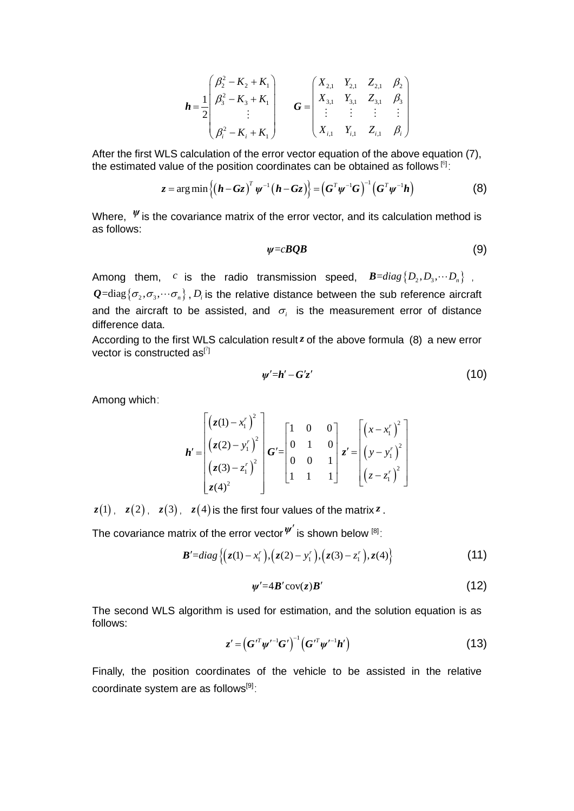$$
\boldsymbol{h} = \frac{1}{2} \begin{pmatrix} \beta_2^2 - K_2 + K_1 \\ \beta_3^2 - K_3 + K_1 \\ \vdots \\ \beta_i^2 - K_i + K_1 \end{pmatrix} \qquad \boldsymbol{G} = \begin{pmatrix} X_{2,1} & Y_{2,1} & Z_{2,1} & \beta_2 \\ X_{3,1} & Y_{3,1} & Z_{3,1} & \beta_3 \\ \vdots & \vdots & \vdots & \vdots \\ X_{i,1} & Y_{i,1} & Z_{i,1} & \beta_i \end{pmatrix}
$$

After the first WLS calculation of the error vector equation of the above equation (7), the estimated value of the position coordinates can be obtained as follows  $[6]$ :

$$
z = \arg\min\left\{ \left(\boldsymbol{h} - \boldsymbol{G}z\right)^{T} \boldsymbol{\psi}^{-1} \left(\boldsymbol{h} - \boldsymbol{G}z\right) \right\} = \left(\boldsymbol{G}^{T} \boldsymbol{\psi}^{-1} \boldsymbol{G}\right)^{-1} \left(\boldsymbol{G}^{T} \boldsymbol{\psi}^{-1} \boldsymbol{h}\right)
$$
(8)

Where. <sup> $\psi$ </sup> is the covariance matrix of the error vector, and its calculation method is as follows:

$$
\psi = cBQB \tag{9}
$$

Among them, *c* is the radio transmission speed,  $B = diag\{D_2, D_3, \cdots, D_n\}$ ,  $Q = \text{diag} \{\sigma_2, \sigma_3, \cdots, \sigma_n\}$ , *D<sub>i</sub>* is the relative distance between the sub reference aircraft and the aircraft to be assisted, and  $\sigma_i$  is the measurement error of distance difference data.

According to the first WLS calculation result *z* of the above formula (8) a new error vector is constructed as<sup>[7]</sup>

$$
\psi'=h'-G'z'\tag{10}
$$

Among which:

$$
\boldsymbol{h}' = \begin{bmatrix} (z(1) - x_1^r)^2 \\ (z(2) - y_1^r)^2 \\ (z(3) - z_1^r)^2 \\ z(4)^2 \end{bmatrix} \boldsymbol{G}' = \begin{bmatrix} 1 & 0 & 0 \\ 0 & 1 & 0 \\ 0 & 0 & 1 \\ 1 & 1 & 1 \end{bmatrix} \boldsymbol{z}' = \begin{bmatrix} (x - x_1^r)^2 \\ (y - y_1^r)^2 \\ (z - z_1^r)^2 \end{bmatrix}
$$

 $z(1)$ ,  $z(2)$ ,  $z(3)$ ,  $z(4)$  is the first four values of the matrix *z*.

The covariance matrix of the error vector  $\psi'$  is shown below <sup>[8]</sup>:

$$
\mathbf{B}' = diag\{ (z(1) - x_1^r), (z(2) - y_1^r), (z(3) - z_1^r), z(4) \}
$$
(11)

$$
\psi' = 4B' \text{cov}(z)B' \tag{12}
$$

The second WLS algorithm is used for estimation, and the solution equation is as follows:

$$
z' = \left(\mathbf{G}^{\prime T}\boldsymbol{\psi}^{\prime -1}\mathbf{G}^{\prime}\right)^{-1}\left(\mathbf{G}^{\prime T}\boldsymbol{\psi}^{\prime -1}\mathbf{h}^{\prime}\right)
$$
(13)

Finally, the position coordinates of the vehicle to be assisted in the relative coordinate system are as follows<sup>[9]</sup>: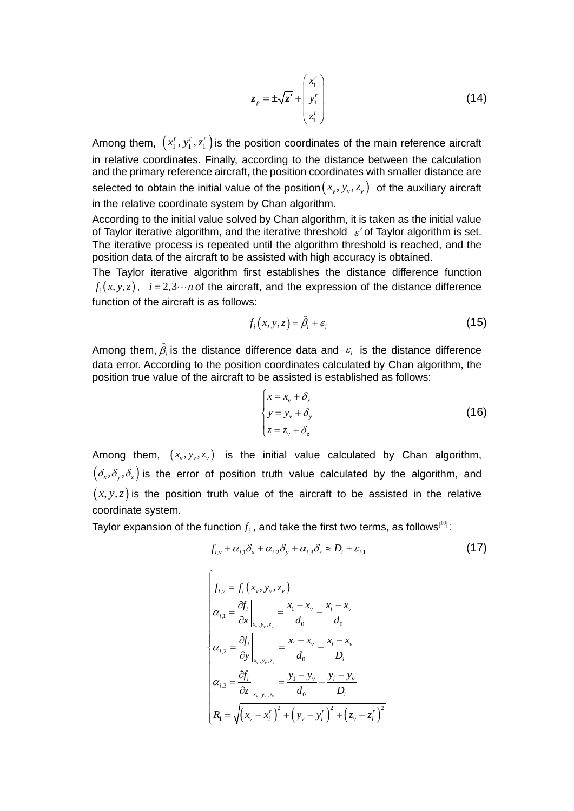$$
z_p = \pm \sqrt{z'} + \begin{pmatrix} x_1^r \\ y_1^r \\ z_1^r \end{pmatrix}
$$
 (14)

Among them,  $(x_1, y_1, z_1)$  is the position coordinates of the main reference aircraft in relative coordinates. Finally, according to the distance between the calculation and the primary reference aircraft, the position coordinates with smaller distance are selected to obtain the initial value of the position $(x_{v}, y_{v}, z_{v})$  of the auxiliary aircraft in the relative coordinate system by Chan algorithm.

According to the initial value solved by Chan algorithm, it is taken as the initial value of Taylor iterative algorithm, and the iterative threshold  $\varepsilon'$  of Taylor algorithm is set. The iterative process is repeated until the algorithm threshold is reached, and the position data of the aircraft to be assisted with high accuracy is obtained.

The Taylor iterative algorithm first establishes the distance difference function  $f_i(x, y, z)$ ,  $i = 2, 3 \cdots n$  of the aircraft, and the expression of the distance difference function of the aircraft is as follows:

$$
f_i(x, y, z) = \hat{\beta}_i + \varepsilon_i
$$
\n(15)

Among them,  $\hat{\beta}_i$  is the distance difference data and  $\epsilon_i$  is the distance difference data error. According to the position coordinates calculated by Chan algorithm, the position true value of the aircraft to be assisted is established as follows:

$$
\begin{cases}\nx = x_v + \delta_x \\
y = y_v + \delta_y \\
z = z_v + \delta_z\n\end{cases}
$$
\n(16)

Among them,  $(x_v, y_v, z_v)$  is the initial value calculated by Chan algorithm,  $(\delta_{x}, \delta_{y}, \delta_{z})$  is the error of position truth value calculated by the algorithm, and  $(x, y, z)$  is the position truth value of the aircraft to be assisted in the relative coordinate system.

Taylor expansion of the function  $f_i$  , and take the first two terms, as follows<sup>[10]</sup>.

$$
f_{i,v} + \alpha_{i,1} \delta_x + \alpha_{i,2} \delta_y + \alpha_{i,3} \delta_z \approx D_i + \varepsilon_{i,1}
$$
\n(17)

$$
\begin{cases}\nf_{i,v} = f_i(x_v, y_v, z_v) \\
\alpha_{i,1} = \frac{\partial f_i}{\partial x}\bigg|_{x_v, y_v, z_v} = \frac{x_1 - x_v}{d_0} - \frac{x_i - x_v}{d_0} \\
\alpha_{i,2} = \frac{\partial f_i}{\partial y}\bigg|_{x_v, y_v, z_v} = \frac{x_1 - x_v}{d_0} - \frac{x_i - x_v}{D_i} \\
\alpha_{i,3} = \frac{\partial f_i}{\partial z}\bigg|_{x_v, y_v, z_v} = \frac{y_1 - y_v}{d_0} - \frac{y_i - y_v}{D_i} \\
R_1 = \sqrt{(x_v - x'_i)^2 + (y_v - y'_i)^2 + (z_v - z'_i)^2}\n\end{cases}
$$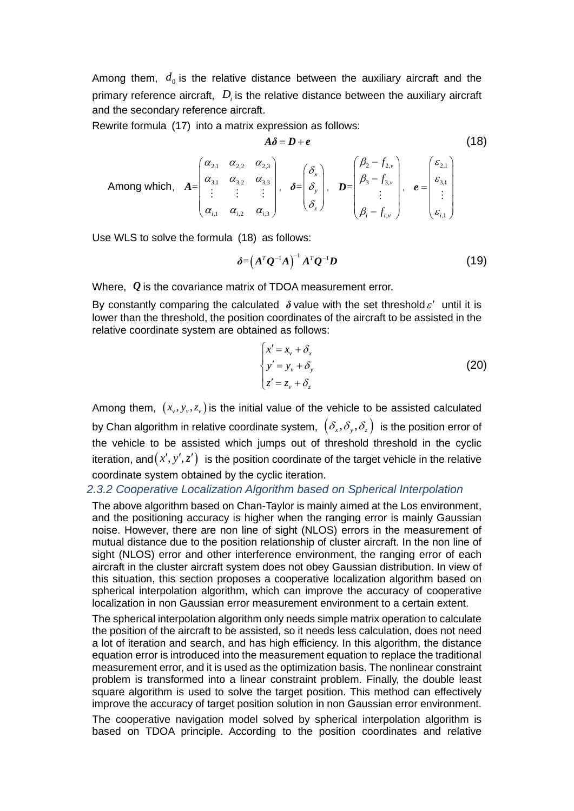Among them,  $d_0$  is the relative distance between the auxiliary aircraft and the primary reference aircraft, *Di* is the relative distance between the auxiliary aircraft and the secondary reference aircraft.

Rewrite formula (17) into a matrix expression as follows:

$$
A\delta = D + e
$$
\n(18)  
\nAmong which,  $A = \begin{bmatrix} \alpha_{2,1} & \alpha_{2,2} & \alpha_{2,3} \\ \alpha_{3,1} & \alpha_{3,2} & \alpha_{3,3} \\ \vdots & \vdots & \vdots \\ \alpha_{i,1} & \alpha_{i,2} & \alpha_{i,3} \end{bmatrix}$ ,  $\delta = \begin{bmatrix} \delta_x \\ \delta_y \\ \delta_z \end{bmatrix}$ ,  $D = \begin{bmatrix} \beta_2 - f_{2,\nu} \\ \beta_3 - f_{3,\nu} \\ \vdots \\ \beta_i - f_{i,\nu} \end{bmatrix}$ ,  $e = \begin{bmatrix} \epsilon_{2,1} \\ \epsilon_{3,1} \\ \vdots \\ \epsilon_{i,1} \end{bmatrix}$ 

Use WLS to solve the formula (18) as follows:

$$
\delta = (A^T Q^{-1} A)^{-1} A^T Q^{-1} D \tag{19}
$$

Where, *Q* is the covariance matrix of TDOA measurement error.

By constantly comparing the calculated  $\delta$  value with the set threshold  $\varepsilon'$  until it is lower than the threshold, the position coordinates of the aircraft to be assisted in the relative coordinate system are obtained as follows:

$$
\begin{cases}\nx' = x_v + \delta_x \\
y' = y_v + \delta_y \\
z' = z_v + \delta_z\n\end{cases}
$$
\n(20)

Among them,  $(x_v, y_v, z_v)$  is the initial value of the vehicle to be assisted calculated by Chan algorithm in relative coordinate system,  $(\delta_{x}, \delta_{y}, \delta_{z})$  is the position error of the vehicle to be assisted which jumps out of threshold threshold in the cyclic iteration, and  $(x', y', z')$  is the position coordinate of the target vehicle in the relative coordinate system obtained by the cyclic iteration.

# *2.3.2 Cooperative Localization Algorithm based on Spherical Interpolation*

The above algorithm based on Chan-Taylor is mainly aimed at the Los environment, and the positioning accuracy is higher when the ranging error is mainly Gaussian noise. However, there are non line of sight (NLOS) errors in the measurement of mutual distance due to the position relationship of cluster aircraft. In the non line of sight (NLOS) error and other interference environment, the ranging error of each aircraft in the cluster aircraft system does not obey Gaussian distribution. In view of this situation, this section proposes a cooperative localization algorithm based on spherical interpolation algorithm, which can improve the accuracy of cooperative localization in non Gaussian error measurement environment to a certain extent.

The spherical interpolation algorithm only needs simple matrix operation to calculate the position of the aircraft to be assisted, so it needs less calculation, does not need a lot of iteration and search, and has high efficiency. In this algorithm, the distance equation error is introduced into the measurement equation to replace the traditional measurement error, and it is used as the optimization basis. The nonlinear constraint problem is transformed into a linear constraint problem. Finally, the double least square algorithm is used to solve the target position. This method can effectively improve the accuracy of target position solution in non Gaussian error environment.

The cooperative navigation model solved by spherical interpolation algorithm is based on TDOA principle. According to the position coordinates and relative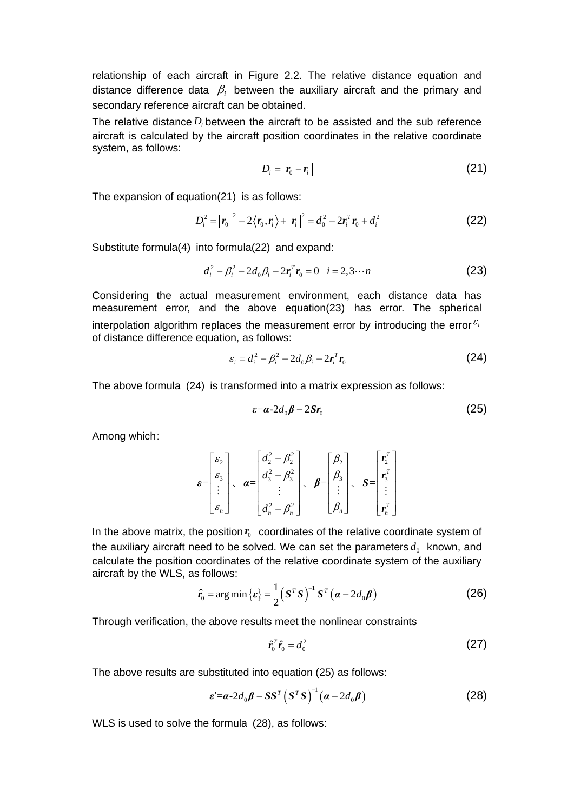relationship of each aircraft in Figure 2.2. The relative distance equation and distance difference data  $\beta_i$  between the auxiliary aircraft and the primary and secondary reference aircraft can be obtained.

The relative distance *Di* between the aircraft to be assisted and the sub reference aircraft is calculated by the aircraft position coordinates in the relative coordinate system, as follows:

$$
D_i = ||\mathbf{r}_0 - \mathbf{r}_i|| \tag{21}
$$

The expansion of equation(21) is as follows:

$$
D_i^2 = ||\mathbf{r}_0||^2 - 2\langle \mathbf{r}_0, \mathbf{r}_i \rangle + ||\mathbf{r}_i||^2 = d_0^2 - 2\mathbf{r}_i^T \mathbf{r}_0 + d_i^2
$$
 (22)

Substitute formula(4) into formula(22) and expand:

$$
d_i^2 - \beta_i^2 - 2d_0 \beta_i - 2r_i^T r_0 = 0 \quad i = 2, 3 \cdots n \tag{23}
$$

Considering the actual measurement environment, each distance data has measurement error, and the above equation(23) has error. The spherical interpolation algorithm replaces the measurement error by introducing the error  $\varepsilon_i$ of distance difference equation, as follows:

$$
\varepsilon_i = d_i^2 - \beta_i^2 - 2d_0 \beta_i - 2r_i^T r_0 \tag{24}
$$

The above formula (24) is transformed into a matrix expression as follows:

$$
\varepsilon = a - 2d_0 \beta - 2Sr_0 \tag{25}
$$

Among which:

$$
\boldsymbol{\varepsilon} = \begin{bmatrix} \varepsilon_2 \\ \varepsilon_3 \\ \vdots \\ \varepsilon_n \end{bmatrix}, \quad \boldsymbol{\alpha} = \begin{bmatrix} d_2^2 - \beta_2^2 \\ d_3^2 - \beta_3^2 \\ \vdots \\ d_n^2 - \beta_n^2 \end{bmatrix}, \quad \boldsymbol{\beta} = \begin{bmatrix} \beta_2 \\ \beta_3 \\ \vdots \\ \beta_n \end{bmatrix}, \quad \boldsymbol{S} = \begin{bmatrix} \boldsymbol{r}_2^T \\ \boldsymbol{r}_3^T \\ \vdots \\ \boldsymbol{r}_n^T \end{bmatrix}
$$

In the above matrix, the position  $r_0$  coordinates of the relative coordinate system of the auxiliary aircraft need to be solved. We can set the parameters  $d_0$  known, and calculate the position coordinates of the relative coordinate system of the auxiliary aircraft by the WLS, as follows:

$$
\hat{\mathbf{r}}_0 = \arg\min\left\{\mathbf{\varepsilon}\right\} = \frac{1}{2} \left(\mathbf{S}^T \mathbf{S}\right)^{-1} \mathbf{S}^T \left(\mathbf{\alpha} - 2d_0 \mathbf{\beta}\right)
$$
(26)

Through verification, the above results meet the nonlinear constraints

$$
\hat{\boldsymbol{r}}_0^T \hat{\boldsymbol{r}}_0 = d_0^2 \tag{27}
$$

The above results are substituted into equation (25) as follows:

$$
\varepsilon' = \alpha - 2d_0 \beta - SS^T (S^T S)^{-1} (\alpha - 2d_0 \beta)
$$
 (28)

WLS is used to solve the formula (28), as follows: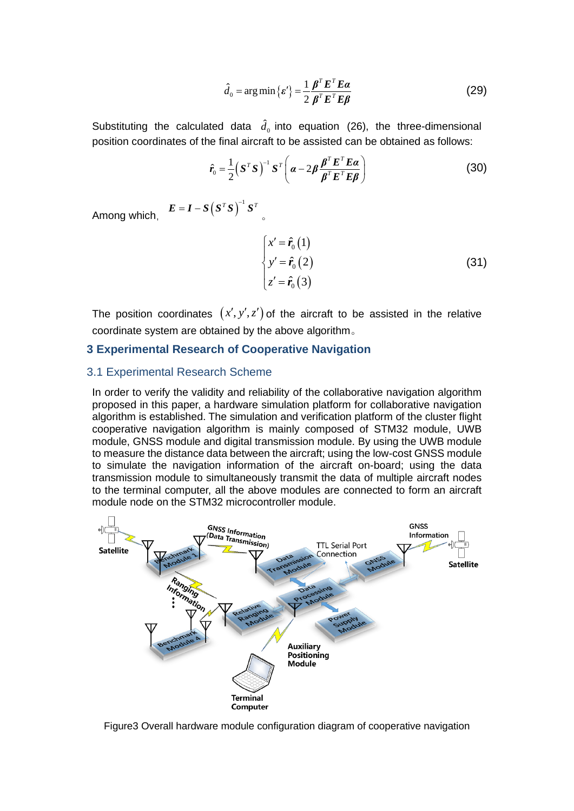$$
\hat{d}_0 = \arg\min \{\boldsymbol{\varepsilon}'\} = \frac{1}{2} \frac{\boldsymbol{\beta}^T \boldsymbol{E}^T \boldsymbol{E} \boldsymbol{\alpha}}{\boldsymbol{\beta}^T \boldsymbol{E}^T \boldsymbol{E} \boldsymbol{\beta}}
$$
(29)

Substituting the calculated data  $\hat{d}_0$  into equation (26), the three-dimensional position coordinates of the final aircraft to be assisted can be obtained as follows:

$$
\hat{r}_0 = \frac{1}{2} \left( \mathbf{S}^T \mathbf{S} \right)^{-1} \mathbf{S}^T \left( \boldsymbol{\alpha} - 2 \boldsymbol{\beta} \frac{\boldsymbol{\beta}^T \mathbf{E}^T \mathbf{E} \boldsymbol{\alpha}}{\boldsymbol{\beta}^T \mathbf{E}^T \mathbf{E} \boldsymbol{\beta}} \right)
$$
(30)

Among which,  $\boldsymbol{E} = \boldsymbol{I} - \boldsymbol{S} \left( \boldsymbol{S}^T \boldsymbol{S} \right)^{-1} \boldsymbol{S}^T$ 

$$
\begin{cases}\n x' = \hat{\mathbf{r}}_0(1) \\
 y' = \hat{\mathbf{r}}_0(2) \\
 z' = \hat{\mathbf{r}}_0(3)\n\end{cases}
$$
\n(31)

The position coordinates  $(x', y', z')$  of the aircraft to be assisted in the relative coordinate system are obtained by the above algorithm。

## **3 Experimental Research of Cooperative Navigation**

#### 3.1 Experimental Research Scheme

In order to verify the validity and reliability of the collaborative navigation algorithm proposed in this paper, a hardware simulation platform for collaborative navigation algorithm is established. The simulation and verification platform of the cluster flight cooperative navigation algorithm is mainly composed of STM32 module, UWB module, GNSS module and digital transmission module. By using the UWB module to measure the distance data between the aircraft; using the low-cost GNSS module to simulate the navigation information of the aircraft on-board; using the data transmission module to simultaneously transmit the data of multiple aircraft nodes to the terminal computer, all the above modules are connected to form an aircraft module node on the STM32 microcontroller module.



Figure3 Overall hardware module configuration diagram of cooperative navigation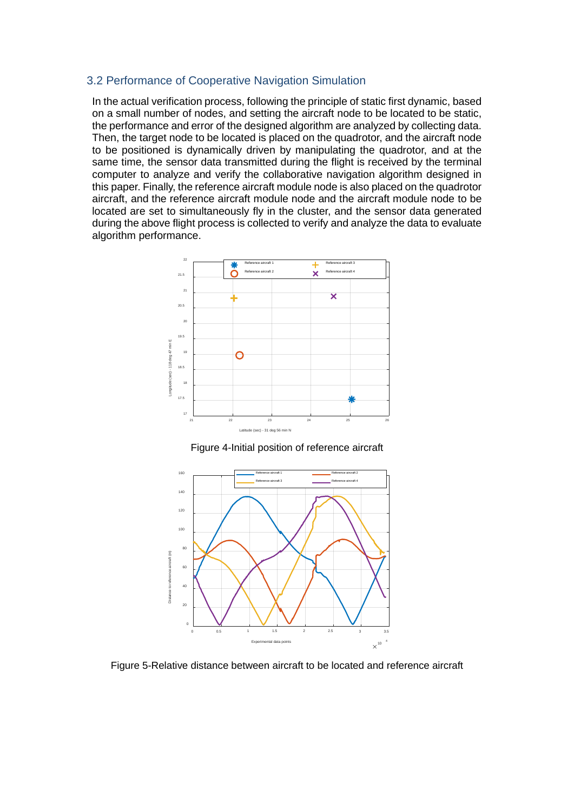#### 3.2 Performance of Cooperative Navigation Simulation

In the actual verification process, following the principle of static first dynamic, based on a small number of nodes, and setting the aircraft node to be located to be static, the performance and error of the designed algorithm are analyzed by collecting data. Then, the target node to be located is placed on the quadrotor, and the aircraft node to be positioned is dynamically driven by manipulating the quadrotor, and at the same time, the sensor data transmitted during the flight is received by the terminal computer to analyze and verify the collaborative navigation algorithm designed in this paper. Finally, the reference aircraft module node is also placed on the quadrotor aircraft, and the reference aircraft module node and the aircraft module node to be located are set to simultaneously fly in the cluster, and the sensor data generated during the above flight process is collected to verify and analyze the data to evaluate algorithm performance.







Figure 5-Relative distance between aircraft to be located and reference aircraft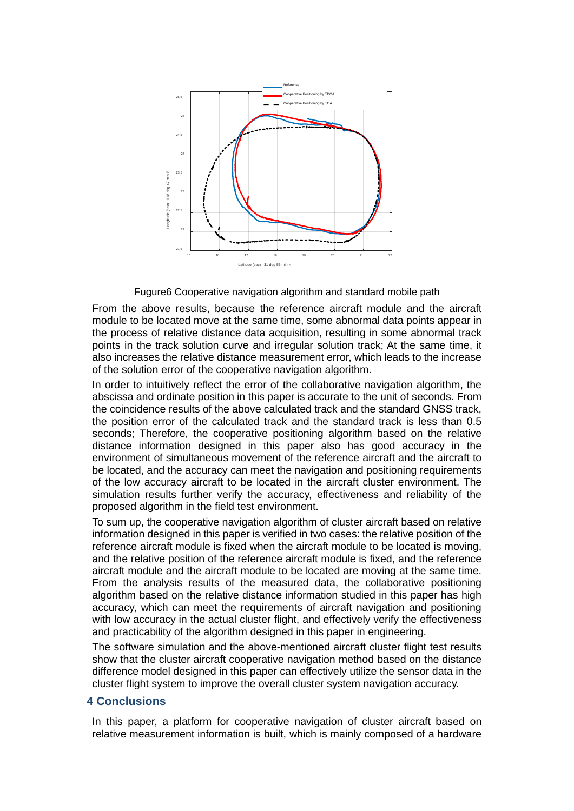

Fugure6 Cooperative navigation algorithm and standard mobile path

From the above results, because the reference aircraft module and the aircraft module to be located move at the same time, some abnormal data points appear in the process of relative distance data acquisition, resulting in some abnormal track points in the track solution curve and irregular solution track; At the same time, it also increases the relative distance measurement error, which leads to the increase of the solution error of the cooperative navigation algorithm.

In order to intuitively reflect the error of the collaborative navigation algorithm, the abscissa and ordinate position in this paper is accurate to the unit of seconds. From the coincidence results of the above calculated track and the standard GNSS track, the position error of the calculated track and the standard track is less than 0.5 seconds; Therefore, the cooperative positioning algorithm based on the relative distance information designed in this paper also has good accuracy in the environment of simultaneous movement of the reference aircraft and the aircraft to be located, and the accuracy can meet the navigation and positioning requirements of the low accuracy aircraft to be located in the aircraft cluster environment. The simulation results further verify the accuracy, effectiveness and reliability of the proposed algorithm in the field test environment.

To sum up, the cooperative navigation algorithm of cluster aircraft based on relative information designed in this paper is verified in two cases: the relative position of the reference aircraft module is fixed when the aircraft module to be located is moving, and the relative position of the reference aircraft module is fixed, and the reference aircraft module and the aircraft module to be located are moving at the same time. From the analysis results of the measured data, the collaborative positioning algorithm based on the relative distance information studied in this paper has high accuracy, which can meet the requirements of aircraft navigation and positioning with low accuracy in the actual cluster flight, and effectively verify the effectiveness and practicability of the algorithm designed in this paper in engineering.

The software simulation and the above-mentioned aircraft cluster flight test results show that the cluster aircraft cooperative navigation method based on the distance difference model designed in this paper can effectively utilize the sensor data in the cluster flight system to improve the overall cluster system navigation accuracy.

## **4 Conclusions**

In this paper, a platform for cooperative navigation of cluster aircraft based on relative measurement information is built, which is mainly composed of a hardware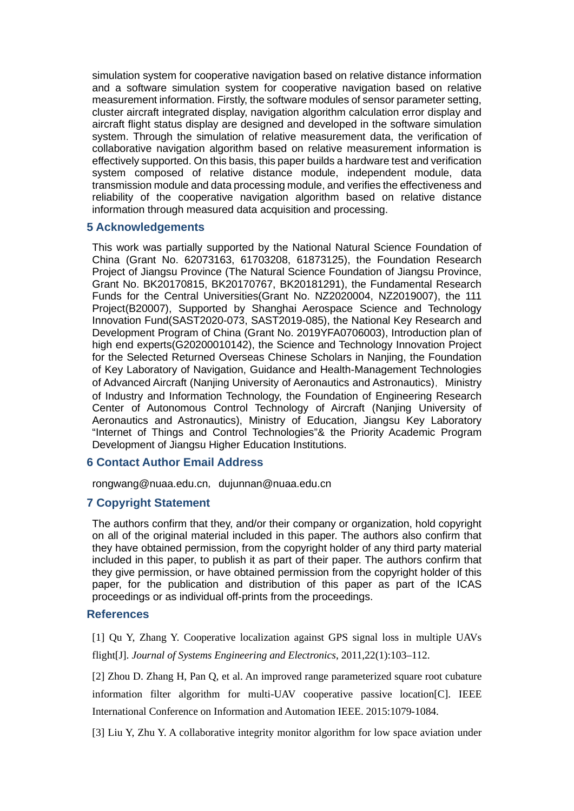simulation system for cooperative navigation based on relative distance information and a software simulation system for cooperative navigation based on relative measurement information. Firstly, the software modules of sensor parameter setting, cluster aircraft integrated display, navigation algorithm calculation error display and aircraft flight status display are designed and developed in the software simulation system. Through the simulation of relative measurement data, the verification of collaborative navigation algorithm based on relative measurement information is effectively supported. On this basis, this paper builds a hardware test and verification system composed of relative distance module, independent module, data transmission module and data processing module, and verifies the effectiveness and reliability of the cooperative navigation algorithm based on relative distance information through measured data acquisition and processing.

## **5 Acknowledgements**

This work was partially supported by the National Natural Science Foundation of China (Grant No. 62073163, 61703208, 61873125), the Foundation Research Project of Jiangsu Province (The Natural Science Foundation of Jiangsu Province, Grant No. BK20170815, BK20170767, BK20181291), the Fundamental Research Funds for the Central Universities(Grant No. NZ2020004, NZ2019007), the 111 Project(B20007), Supported by Shanghai Aerospace Science and Technology Innovation Fund(SAST2020-073, SAST2019-085), the National Key Research and Development Program of China (Grant No. 2019YFA0706003), Introduction plan of high end experts(G20200010142), the Science and Technology Innovation Project for the Selected Returned Overseas Chinese Scholars in Nanjing, the Foundation of Key Laboratory of Navigation, Guidance and Health-Management Technologies of Advanced Aircraft (Nanjing University of Aeronautics and Astronautics), Ministry of Industry and Information Technology, the Foundation of Engineering Research Center of Autonomous Control Technology of Aircraft (Nanjing University of Aeronautics and Astronautics), Ministry of Education, Jiangsu Key Laboratory "Internet of Things and Control Technologies"& the Priority Academic Program Development of Jiangsu Higher Education Institutions.

## **6 Contact Author Email Address**

rongwang@nuaa.edu.cn, dujunnan@nuaa.edu.cn

## **7 Copyright Statement**

The authors confirm that they, and/or their company or organization, hold copyright on all of the original material included in this paper. The authors also confirm that they have obtained permission, from the copyright holder of any third party material included in this paper, to publish it as part of their paper. The authors confirm that they give permission, or have obtained permission from the copyright holder of this paper, for the publication and distribution of this paper as part of the ICAS proceedings or as individual off-prints from the proceedings.

#### **References**

[1] Qu Y, Zhang Y. Cooperative localization against GPS signal loss in multiple UAVs flight[J]. *Journal of Systems Engineering and Electronics*, 2011,22(1):103–112.

[2] Zhou D. Zhang H, Pan Q, et al. An improved range parameterized square root cubature information filter algorithm for multi-UAV cooperative passive location[C]. IEEE International Conference on Information and Automation IEEE. 2015:1079-1084.

[3] Liu Y, Zhu Y. A collaborative integrity monitor algorithm for low space aviation under